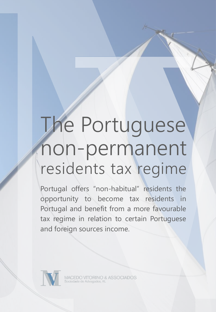## The Portuguese non-permanent residents tax regime

Portugal offers "non-habitual" residents the opportunity to become tax residents in Portugal and benefit from a more favourable tax regime in relation to certain Portuguese and foreign sources income.

**ACEDO VITORINO & ASSOCIADOS**<br>ciedade de Advogados, RL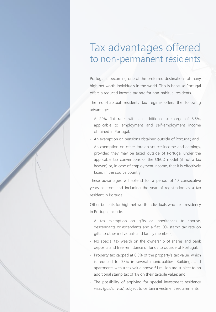## Tax advantages offered to non-permanent residents

Portugal is becoming one of the preferred destinations of many high net worth individuals in the world. This is because Portugal offers a reduced income tax rate for non-habitual residents.

The non-habitual residents tax regime offers the following advantages:

- ‐ A 20% flat rate, with an additional surcharge of 3.5%, applicable to employment and self-employment income obtained in Portugal;
- ‐ An exemption on pensions obtained outside of Portugal; and
- ‐ An exemption on other foreign source income and earnings, provided they may be taxed outside of Portugal under the applicable tax conventions or the OECD model (if not a tax heaven) or, in case of employment income, that it is effectively taxed in the source country.

These advantages will extend for a period of 10 consecutive years as from and including the year of registration as a tax resident in Portugal.

Other benefits for high net worth individuals who take residency in Portugal include:

- ‐ A tax exemption on gifts or inheritances to spouse, descendants or ascendants and a flat 10% stamp tax rate on gifts to other individuals and family members;
- ‐ No special tax wealth on the ownership of shares and bank deposits and free remittance of funds to outside of Portugal;
- ‐ Property tax capped at 0.5% of the property's tax value, which is reduced to 0.3% in several municipalities. Buildings and apartments with a tax value above €1 million are subject to an additional stamp tax of 1% on their taxable value; and
- ‐ The possibility of applying for special investment residency visas (*golden visa*) subject to certain investment requirements.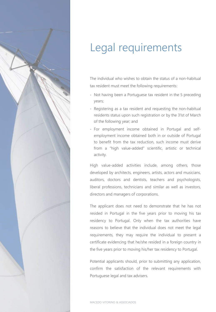

## Legal requirements

The individual who wishes to obtain the status of a non-habitual tax resident must meet the following requirements:

- ‐ Not having been a Portuguese tax resident in the 5 preceding years;
- ‐ Registering as a tax resident and requesting the non-habitual residents status upon such registration or by the 31st of March of the following year; and
- ‐ For employment income obtained in Portugal and selfemployment income obtained both in or outside of Portugal to benefit from the tax reduction, such income must derive from a "high value-added" scientific, artistic or technical activity.

High value-added activities include, among others, those developed by architects, engineers, artists, actors and musicians, auditors, doctors and dentists, teachers and psychologists, liberal professions, technicians and similar as well as investors, directors and managers of corporations.

The applicant does not need to demonstrate that he has not resided in Portugal in the five years prior to moving his tax residency to Portugal. Only when the tax authorities have reasons to believe that the individual does not meet the legal requirements, they may require the individual to present a certificate evidencing that he/she resided in a foreign country in the five years prior to moving his/her tax residency to Portugal.

Potential applicants should, prior to submitting any application, confirm the satisfaction of the relevant requirements with Portuguese legal and tax advisers.